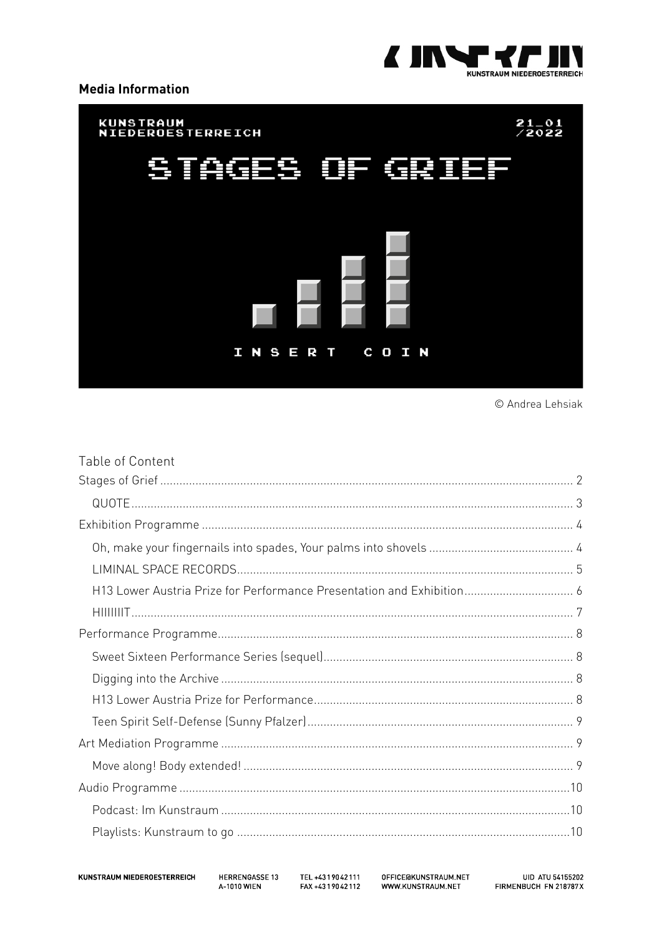

#### **Media Information**



© Andrea Lehsiak

| Table of Content                                                      |  |
|-----------------------------------------------------------------------|--|
|                                                                       |  |
|                                                                       |  |
|                                                                       |  |
|                                                                       |  |
|                                                                       |  |
| H13 Lower Austria Prize for Performance Presentation and Exhibition 6 |  |
|                                                                       |  |
|                                                                       |  |
|                                                                       |  |
|                                                                       |  |
|                                                                       |  |
|                                                                       |  |
|                                                                       |  |
|                                                                       |  |
|                                                                       |  |
|                                                                       |  |
|                                                                       |  |

HERRENGASSE 13 A-1010 WIEN

TEL +4319042111 FAX +4319042112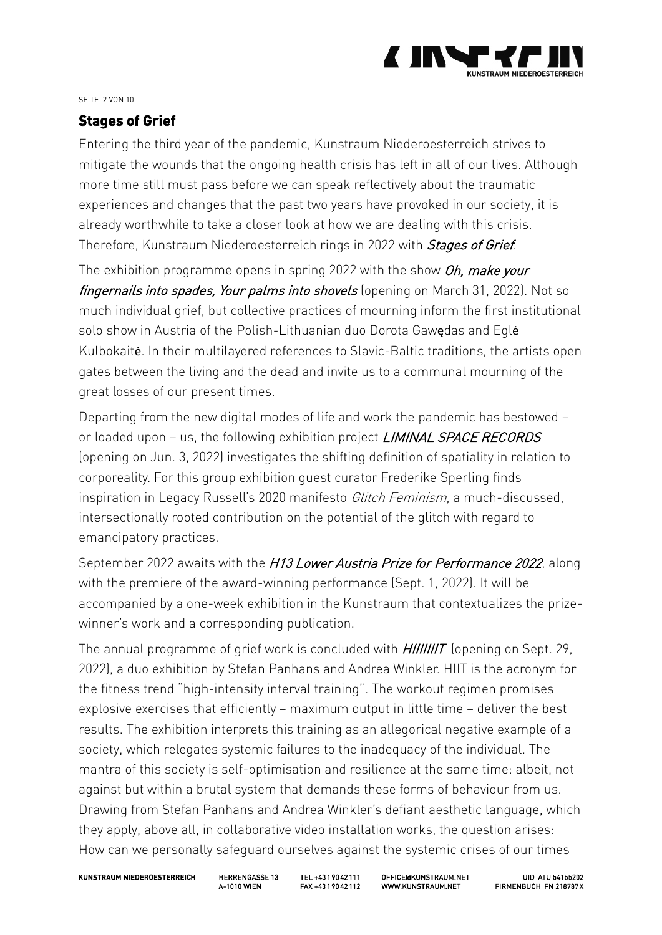

#### SEITE 2 VON 10

# <span id="page-1-0"></span>**Stages of Grief**

Entering the third year of the pandemic, Kunstraum Niederoesterreich strives to mitigate the wounds that the ongoing health crisis has left in all of our lives. Although more time still must pass before we can speak reflectively about the traumatic experiences and changes that the past two years have provoked in our society, it is already worthwhile to take a closer look at how we are dealing with this crisis. Therefore, Kunstraum Niederoesterreich rings in 2022 with Stages of Grief.

The exhibition programme opens in spring 2022 with the show Oh, make your fingernails into spades, Your palms into shovels (opening on March 31, 2022). Not so much individual grief, but collective practices of mourning inform the first institutional solo show in Austria of the Polish-Lithuanian duo Dorota Gawędas and Eglė Kulbokaitė. In their multilayered references to Slavic-Baltic traditions, the artists open gates between the living and the dead and invite us to a communal mourning of the great losses of our present times.

Departing from the new digital modes of life and work the pandemic has bestowed – or loaded upon - us, the following exhibition project *LIMINAL SPACE RECORDS* (opening on Jun. 3, 2022) investigates the shifting definition of spatiality in relation to corporeality. For this group exhibition guest curator Frederike Sperling finds inspiration in Legacy Russell's 2020 manifesto Glitch Feminism, a much-discussed, intersectionally rooted contribution on the potential of the glitch with regard to emancipatory practices.

September 2022 awaits with the H13 Lower Austria Prize for Performance 2022, along with the premiere of the award-winning performance (Sept. 1, 2022). It will be accompanied by a one-week exhibition in the Kunstraum that contextualizes the prizewinner's work and a corresponding publication.

The annual programme of grief work is concluded with *HIIIIIIIT* (opening on Sept. 29, 2022), a duo exhibition by Stefan Panhans and Andrea Winkler. HIIT is the acronym for the fitness trend "high-intensity interval training". The workout regimen promises explosive exercises that efficiently – maximum output in little time – deliver the best results. The exhibition interprets this training as an allegorical negative example of a society, which relegates systemic failures to the inadequacy of the individual. The mantra of this society is self-optimisation and resilience at the same time: albeit, not against but within a brutal system that demands these forms of behaviour from us. Drawing from Stefan Panhans and Andrea Winkler's defiant aesthetic language, which they apply, above all, in collaborative video installation works, the question arises: How can we personally safeguard ourselves against the systemic crises of our times

**KUNSTRAUM NIEDEROESTERREICH** 

**HERRENGASSE 13 4-1010 WIFN** 

TFL +4319042111 FAX +4319042112 OFFICE@KUNSTRAUM.NET WWW.KUNSTRAUM.NET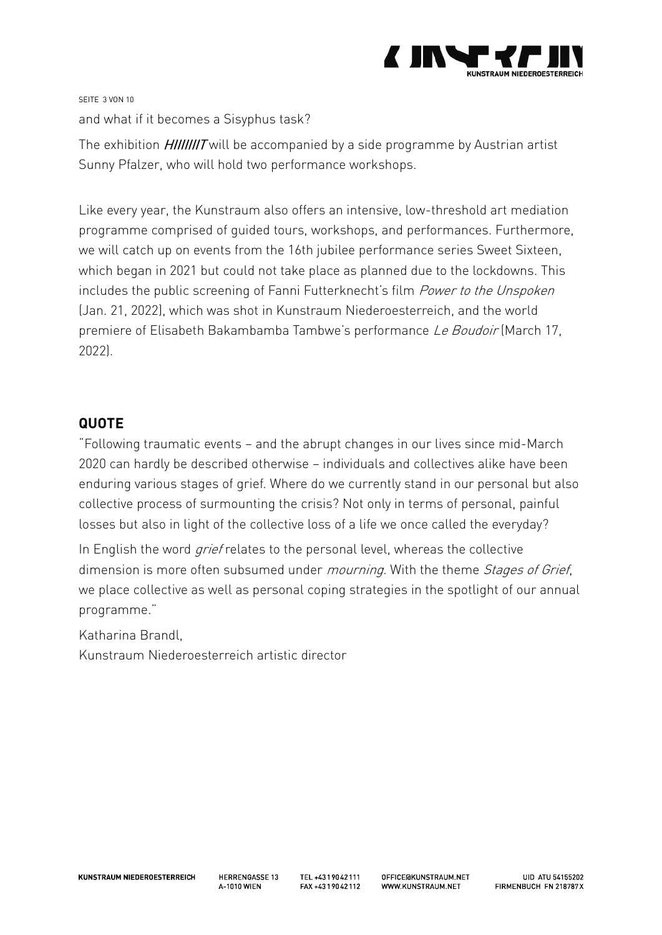

SEITE 3 VON 10 and what if it becomes a Sisyphus task?

The exhibition *HIIIIIIIT* will be accompanied by a side programme by Austrian artist Sunny Pfalzer, who will hold two performance workshops.

Like every year, the Kunstraum also offers an intensive, low-threshold art mediation programme comprised of guided tours, workshops, and performances. Furthermore, we will catch up on events from the 16th jubilee performance series Sweet Sixteen, which began in 2021 but could not take place as planned due to the lockdowns. This includes the public screening of Fanni Futterknecht's film Power to the Unspoken (Jan. 21, 2022), which was shot in Kunstraum Niederoesterreich, and the world premiere of Elisabeth Bakambamba Tambwe's performance Le Boudoir (March 17, 2022).

# <span id="page-2-0"></span>**QUOTE**

"Following traumatic events – and the abrupt changes in our lives since mid-March 2020 can hardly be described otherwise – individuals and collectives alike have been enduring various stages of grief. Where do we currently stand in our personal but also collective process of surmounting the crisis? Not only in terms of personal, painful losses but also in light of the collective loss of a life we once called the everyday?

In English the word *grief* relates to the personal level, whereas the collective dimension is more often subsumed under *mourning*. With the theme *Stages of Grief*, we place collective as well as personal coping strategies in the spotlight of our annual programme."

Katharina Brandl,

Kunstraum Niederoesterreich artistic director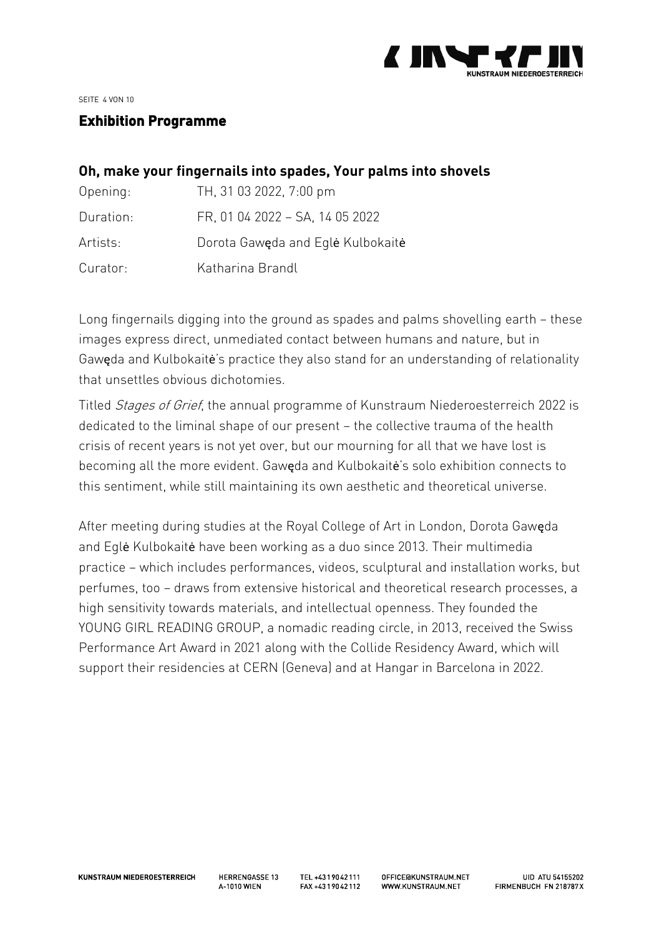

SEITE 4 VON 10

## <span id="page-3-0"></span>**Exhibition Programme**

## <span id="page-3-1"></span>**Oh, make your fingernails into spades, Your palms into shovels**

| Opening:  | TH, 31 03 2022, 7:00 pm           |
|-----------|-----------------------------------|
| Duration. | FR, 01 04 2022 - SA, 14 05 2022   |
| Artists:  | Dorota Gaweda and Eqle Kulbokaite |
| Curator:  | Katharina Brandl                  |

Long fingernails digging into the ground as spades and palms shovelling earth – these images express direct, unmediated contact between humans and nature, but in Gawęda and Kulbokaitė's practice they also stand for an understanding of relationality that unsettles obvious dichotomies.

Titled Stages of Grief, the annual programme of Kunstraum Niederoesterreich 2022 is dedicated to the liminal shape of our present – the collective trauma of the health crisis of recent years is not yet over, but our mourning for all that we have lost is becoming all the more evident. Gawęda and Kulbokaitė's solo exhibition connects to this sentiment, while still maintaining its own aesthetic and theoretical universe.

After meeting during studies at the Royal College of Art in London, Dorota Gawęda and Eglė Kulbokaitė have been working as a duo since 2013. Their multimedia practice – which includes performances, videos, sculptural and installation works, but perfumes, too – draws from extensive historical and theoretical research processes, a high sensitivity towards materials, and intellectual openness. They founded the YOUNG GIRL READING GROUP, a nomadic reading circle, in 2013, received the Swiss Performance Art Award in 2021 along with the Collide Residency Award, which will support their residencies at CERN (Geneva) and at Hangar in Barcelona in 2022.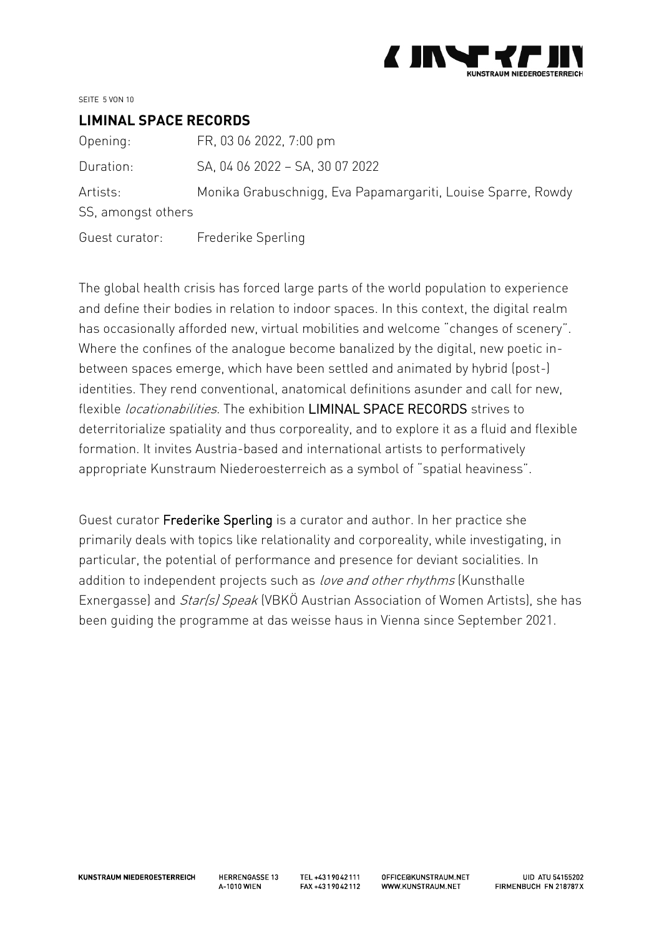

SEITE 5 VON 10

#### <span id="page-4-0"></span>**LIMINAL SPACE RECORDS**

| Opening:           | FR, 03 06 2022, 7:00 pm                                      |  |  |
|--------------------|--------------------------------------------------------------|--|--|
| Duration:          | SA, 04 06 2022 - SA, 30 07 2022                              |  |  |
| Artists:           | Monika Grabuschnigg, Eva Papamargariti, Louise Sparre, Rowdy |  |  |
| SS, amongst others |                                                              |  |  |
| Guest curator:     | Frederike Sperling                                           |  |  |

The global health crisis has forced large parts of the world population to experience and define their bodies in relation to indoor spaces. In this context, the digital realm has occasionally afforded new, virtual mobilities and welcome "changes of scenery". Where the confines of the analogue become banalized by the digital, new poetic inbetween spaces emerge, which have been settled and animated by hybrid (post-) identities. They rend conventional, anatomical definitions asunder and call for new, flexible *locationabilities*. The exhibition LIMINAL SPACE RECORDS strives to deterritorialize spatiality and thus corporeality, and to explore it as a fluid and flexible formation. It invites Austria-based and international artists to performatively appropriate Kunstraum Niederoesterreich as a symbol of "spatial heaviness".

Guest curator Frederike Sperling is a curator and author. In her practice she primarily deals with topics like relationality and corporeality, while investigating, in particular, the potential of performance and presence for deviant socialities. In addition to independent projects such as *love and other rhythms* (Kunsthalle Exnergasse) and *Star(s) Speak* (VBKÖ Austrian Association of Women Artists), she has been guiding the programme at das weisse haus in Vienna since September 2021.

**HERRENGASSE 13 4-1010 WIFN**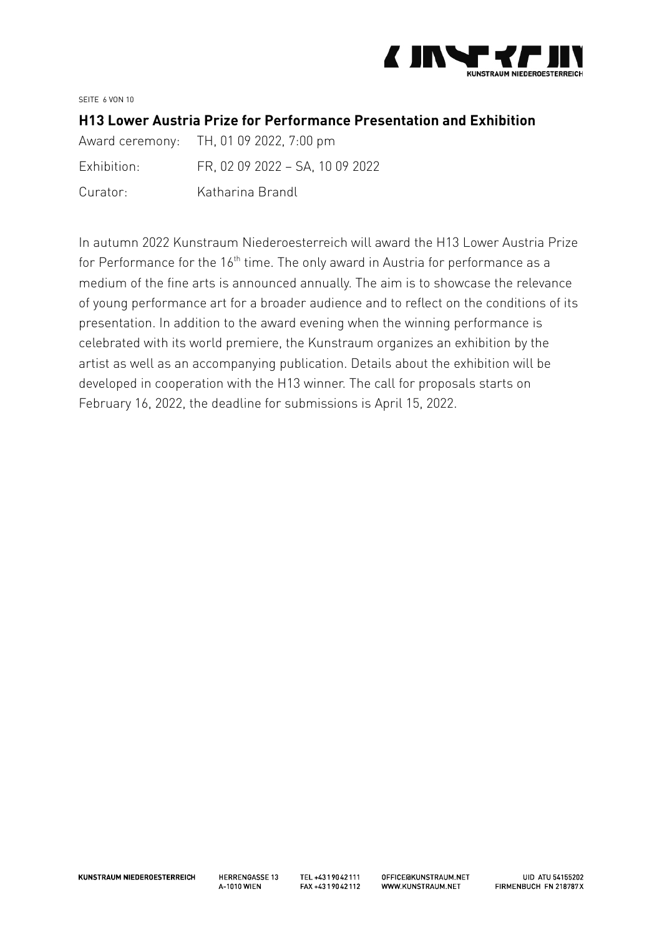

SEITE 6 VON 10

#### <span id="page-5-0"></span>**H13 Lower Austria Prize for Performance Presentation and Exhibition**

|             | Award ceremony: TH, 01 09 2022, 7:00 pm |
|-------------|-----------------------------------------|
| Exhibition: | FR, 02 09 2022 - SA, 10 09 2022         |
| Curator:    | Katharina Brandl                        |

In autumn 2022 Kunstraum Niederoesterreich will award the H13 Lower Austria Prize for Performance for the 16<sup>th</sup> time. The only award in Austria for performance as a medium of the fine arts is announced annually. The aim is to showcase the relevance of young performance art for a broader audience and to reflect on the conditions of its presentation. In addition to the award evening when the winning performance is celebrated with its world premiere, the Kunstraum organizes an exhibition by the artist as well as an accompanying publication. Details about the exhibition will be developed in cooperation with the H13 winner. The call for proposals starts on February 16, 2022, the deadline for submissions is April 15, 2022.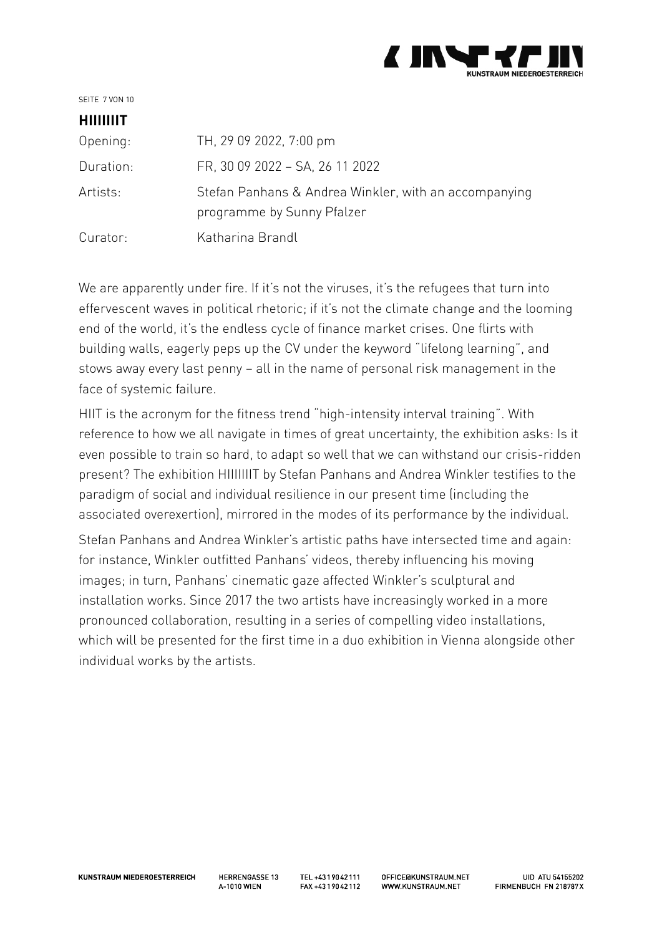

SEITE 7 VON 10

# <span id="page-6-0"></span>**HIIIIIIIT**

| Opening   | TH, 29 09 2022, 7:00 pm                                                             |
|-----------|-------------------------------------------------------------------------------------|
| Duration: | FR, 30 09 2022 - SA, 26 11 2022                                                     |
| Artists:  | Stefan Panhans & Andrea Winkler, with an accompanying<br>programme by Sunny Pfalzer |
| Curator:  | Katharina Brandl                                                                    |

We are apparently under fire. If it's not the viruses, it's the refugees that turn into effervescent waves in political rhetoric; if it's not the climate change and the looming end of the world, it's the endless cycle of finance market crises. One flirts with building walls, eagerly peps up the CV under the keyword "lifelong learning", and stows away every last penny – all in the name of personal risk management in the face of systemic failure.

HIIT is the acronym for the fitness trend "high-intensity interval training". With reference to how we all navigate in times of great uncertainty, the exhibition asks: Is it even possible to train so hard, to adapt so well that we can withstand our crisis-ridden present? The exhibition HIIIIIIIT by Stefan Panhans and Andrea Winkler testifies to the paradigm of social and individual resilience in our present time (including the associated overexertion), mirrored in the modes of its performance by the individual.

Stefan Panhans and Andrea Winkler's artistic paths have intersected time and again: for instance, Winkler outfitted Panhans' videos, thereby influencing his moving images; in turn, Panhans' cinematic gaze affected Winkler's sculptural and installation works. Since 2017 the two artists have increasingly worked in a more pronounced collaboration, resulting in a series of compelling video installations, which will be presented for the first time in a duo exhibition in Vienna alongside other individual works by the artists.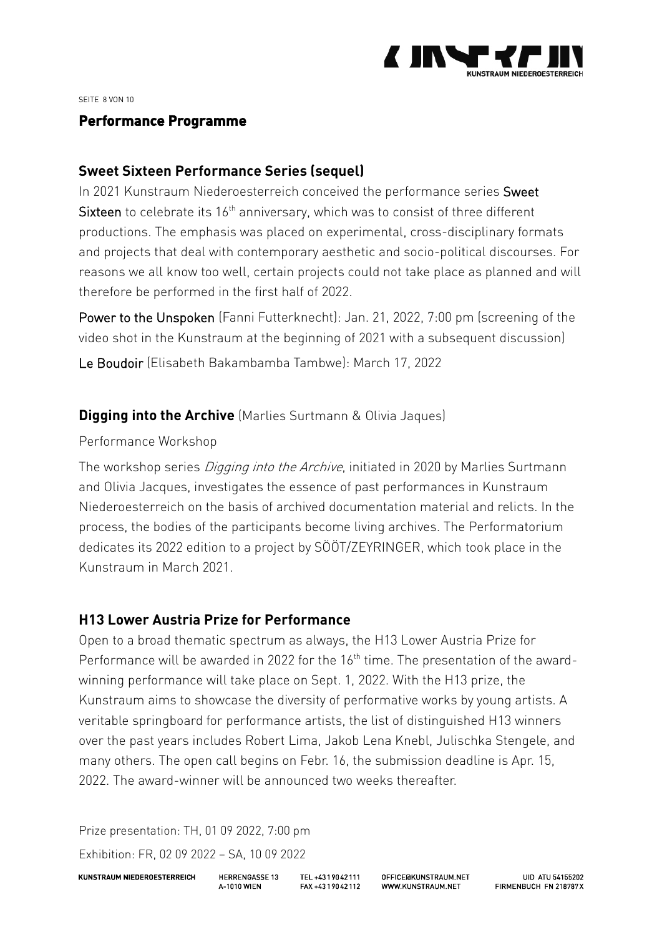

SEITE 8 VON 10

### <span id="page-7-0"></span>**Performance Programme**

## <span id="page-7-1"></span>**Sweet Sixteen Performance Series (sequel)**

In 2021 Kunstraum Niederoesterreich conceived the performance series Sweet Sixteen to celebrate its  $16<sup>th</sup>$  anniversary, which was to consist of three different productions. The emphasis was placed on experimental, cross-disciplinary formats and projects that deal with contemporary aesthetic and socio-political discourses. For reasons we all know too well, certain projects could not take place as planned and will therefore be performed in the first half of 2022.

Power to the Unspoken (Fanni Futterknecht): Jan. 21, 2022, 7:00 pm (screening of the video shot in the Kunstraum at the beginning of 2021 with a subsequent discussion)

Le Boudoir (Elisabeth Bakambamba Tambwe): March 17, 2022

# <span id="page-7-2"></span>**Digging into the Archive** (Marlies Surtmann & Olivia Jaques)

### Performance Workshop

The workshop series *Digging into the Archive*, initiated in 2020 by Marlies Surtmann and Olivia Jacques, investigates the essence of past performances in Kunstraum Niederoesterreich on the basis of archived documentation material and relicts. In the process, the bodies of the participants become living archives. The Performatorium dedicates its 2022 edition to a project by SÖÖT/ZEYRINGER, which took place in the Kunstraum in March 2021.

# <span id="page-7-3"></span>**H13 Lower Austria Prize for Performance**

Open to a broad thematic spectrum as always, the H13 Lower Austria Prize for Performance will be awarded in 2022 for the 16<sup>th</sup> time. The presentation of the awardwinning performance will take place on Sept. 1, 2022. With the H13 prize, the Kunstraum aims to showcase the diversity of performative works by young artists. A veritable springboard for performance artists, the list of distinguished H13 winners over the past years includes Robert Lima, Jakob Lena Knebl, Julischka Stengele, and many others. The open call begins on Febr. 16, the submission deadline is Apr. 15, 2022. The award-winner will be announced two weeks thereafter.

Prize presentation: TH, 01 09 2022, 7:00 pm Exhibition: FR, 02 09 2022 – SA, 10 09 2022

**KUNSTRAUM NIEDEROESTERREICH** 

**HERRENGASSE 13 4-1010 WIFN** 

TEL +4319042111 FAX +4319042112 OFFICE GKUNSTRAUM.NET WWW.KUNSTRAUM.NET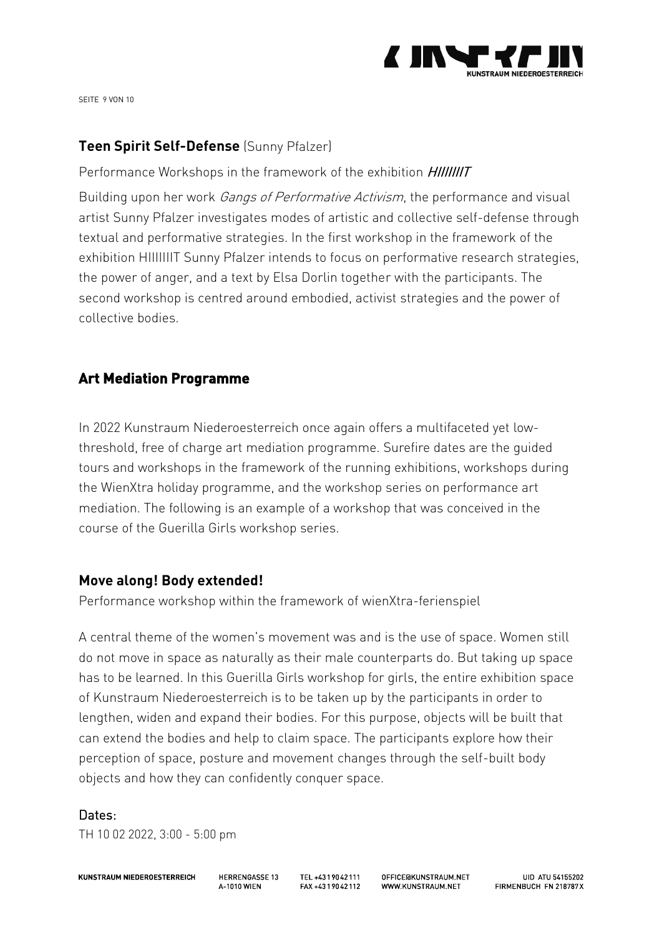

SEITE 9 VON 10

# <span id="page-8-0"></span>**Teen Spirit Self-Defense** (Sunny Pfalzer)

Performance Workshops in the framework of the exhibition HIIIIIIIT

Building upon her work *Gangs of Performative Activism*, the performance and visual artist Sunny Pfalzer investigates modes of artistic and collective self-defense through textual and performative strategies. In the first workshop in the framework of the exhibition HIIIIIIIT Sunny Pfalzer intends to focus on performative research strategies, the power of anger, and a text by Elsa Dorlin together with the participants. The second workshop is centred around embodied, activist strategies and the power of collective bodies.

# <span id="page-8-1"></span>**Art Mediation Programme**

In 2022 Kunstraum Niederoesterreich once again offers a multifaceted yet lowthreshold, free of charge art mediation programme. Surefire dates are the guided tours and workshops in the framework of the running exhibitions, workshops during the WienXtra holiday programme, and the workshop series on performance art mediation. The following is an example of a workshop that was conceived in the course of the Guerilla Girls workshop series.

## <span id="page-8-2"></span>**Move along! Body extended!**

Performance workshop within the framework of wienXtra-ferienspiel

A central theme of the women's movement was and is the use of space. Women still do not move in space as naturally as their male counterparts do. But taking up space has to be learned. In this Guerilla Girls workshop for girls, the entire exhibition space of Kunstraum Niederoesterreich is to be taken up by the participants in order to lengthen, widen and expand their bodies. For this purpose, objects will be built that can extend the bodies and help to claim space. The participants explore how their perception of space, posture and movement changes through the self-built body objects and how they can confidently conquer space.

#### Dates:

TH 10 02 2022, 3:00 - 5:00 pm

**KUNSTRAUM NIEDEROESTERREICH** 

**HERRENGASSE 13 4-1010 WIFN** 

TEL +4319042111 FAX +4319042112 OFFICE GKUNSTRAUM.NET WWW KUNSTRAUM NFT